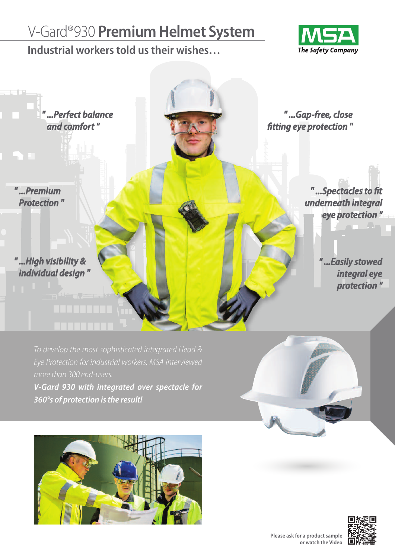## V-Gard®930 **PremiumHelmet System**

**Industrial workerstold ustheir wishes…**





*To develop the most sophisticated integrated Head & more than* 300 *end-users.* **V-Gard 930 with integrated over spectacle for**

**360°s of protection isthe result!**